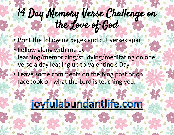## 14 Day Memory Verse Challenge on the Love of God

- Print the following pages and cut verses apart
- Follow along with me by learning/memorizing/studying/meditating on one verse a day leading up to Valentine's Day
- Leave some comments on the blog post or on facebook on what the Lord is teaching you.

## joyfulabundantlife.com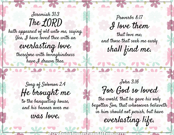Jeremiah 31:3 The LORD hath appeared of old unto me, saying, Yea, I have loved thee with an everlasting love: therefore with lovingkindness have I drawn thee.

Proverbs 8:17 I love them

that love me; and those that seek me early shall find me.

Song of Solomon 2:4 He brought me

to the banqueting house, and his banner over me was love.

**AJOV FU** 

John 3:16 For God so loved

UPO UP UPO UP

100 00 - 100 00

the world, that he gave his only begotten Son, that whosoever believeth in him should not perish, but have

everlasting life.

a buine aint in a col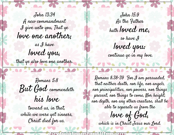John 13:34 A new commandment I give unto you, That ye love one another; as I have

loved you, that ye also love one another.

Romans 5:8 But God commendeth

his love toward us, in that, while we were yet sinners, Christ died for us.

John 15:9 As the Father hath loved me, so have I loved you: continue ye in my love.

Romans 8:38-39 For I am persuaded, that neither death, nor life, nor angels, nor principalities, nor powers, nor things present, nor things to come, Nor height, nor depth, nor any other creature, shall be able to separate us from the

love of God, which is in Christ Jesus our Lord.

a bulgo amullica dom OVTUP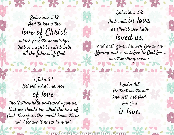Ephesians 3:19 And to know the love of Christ, which passeth knowledge, that ye might be filled with all the fulness of God.

Ephesians 5:2 And walk in love, as Christ also hath loved us,

and hath given himself for us an offering and a sacrifice to God for a sweetsmelling savour.

1 John 3:1 Behold, what manner

NOUSA

of love the Father hath bestowed upon us, that we should be called the sons of God: therefore the world knoweth us not, because it knew him not.

OVTU

1 John 4:8 He that loveth not knoweth not God; for God is love.

abuneant ra.co